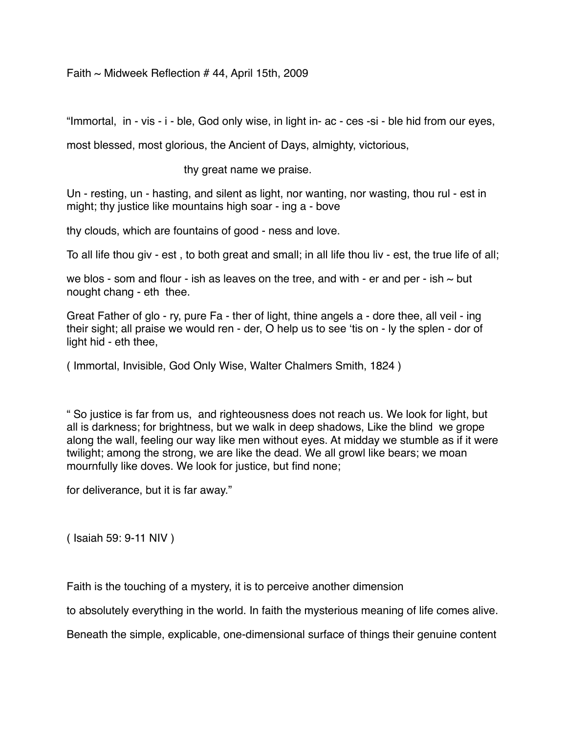Faith  $\sim$  Midweek Reflection # 44, April 15th, 2009

"Immortal, in - vis - i - ble, God only wise, in light in- ac - ces -si - ble hid from our eyes,

most blessed, most glorious, the Ancient of Days, almighty, victorious,

thy great name we praise.

Un - resting, un - hasting, and silent as light, nor wanting, nor wasting, thou rul - est in might; thy justice like mountains high soar - ing a - bove

thy clouds, which are fountains of good - ness and love.

To all life thou giv - est , to both great and small; in all life thou liv - est, the true life of all;

we blos - som and flour - ish as leaves on the tree, and with - er and per - ish  $\sim$  but nought chang - eth thee.

Great Father of glo - ry, pure Fa - ther of light, thine angels a - dore thee, all veil - ing their sight; all praise we would ren - der, O help us to see 'tis on - ly the splen - dor of light hid - eth thee,

( Immortal, Invisible, God Only Wise, Walter Chalmers Smith, 1824 )

" So justice is far from us, and righteousness does not reach us. We look for light, but all is darkness; for brightness, but we walk in deep shadows, Like the blind we grope along the wall, feeling our way like men without eyes. At midday we stumble as if it were twilight; among the strong, we are like the dead. We all growl like bears; we moan mournfully like doves. We look for justice, but find none;

for deliverance, but it is far away."

( Isaiah 59: 9-11 NIV )

Faith is the touching of a mystery, it is to perceive another dimension

to absolutely everything in the world. In faith the mysterious meaning of life comes alive.

Beneath the simple, explicable, one-dimensional surface of things their genuine content